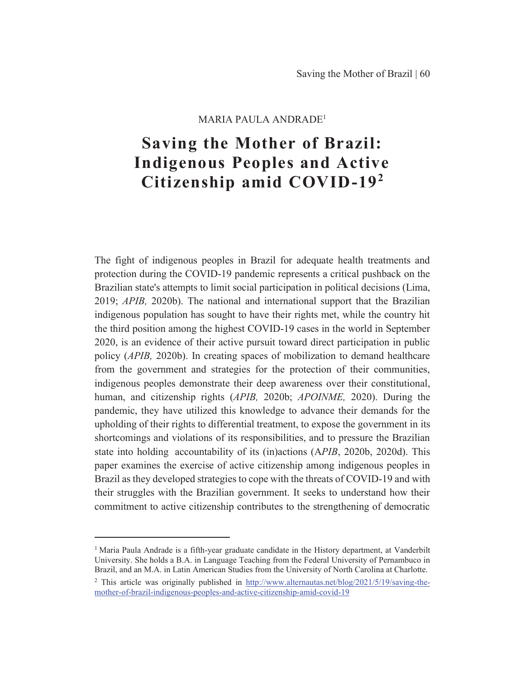### $MARIA$  PAULA ANDRADE<sup>1</sup>

# **Saving the Mother of Brazil: Indigenous Peoples and Active** Citizenship amid COVID-19<sup>2</sup>

The fight of indigenous peoples in Brazil for adequate health treatments and protection during the COVID-19 pandemic represents a critical pushback on the Brazilian state's attempts to limit social participation in political decisions (Lima, 2019; *APIB*, 2020b). The national and international support that the Brazilian indigenous population has sought to have their rights met, while the country hit the third position among the highest COVID-19 cases in the world in September 2020, is an evidence of their active pursuit toward direct participation in public policy (*APIB*, 2020b). In creating spaces of mobilization to demand healthcare from the government and strategies for the protection of their communities, indigenous peoples demonstrate their deep awareness over their constitutional, human, and citizenship rights (*APIB*, 2020b; *APOINME*, 2020). During the pandemic, they have utilized this knowledge to advance their demands for the upholding of their rights to differential treatment, to expose the government in its shortcomings and violations of its responsibilities, and to pressure the Brazilian state into holding accountability of its (in)actions (APIB, 2020b, 2020d). This paper examines the exercise of active citizenship among indigenous peoples in Brazil as they developed strategies to cope with the threats of COVID-19 and with their struggles with the Brazilian government. It seeks to understand how their commitment to active citizenship contributes to the strengthening of democratic

<sup>&</sup>lt;sup>1</sup> Maria Paula Andrade is a fifth-year graduate candidate in the History department, at Vanderbilt University. She holds a B.A. in Language Teaching from the Federal University of Pernambuco in Brazil, and an M.A. in Latin American Studies from the University of North Carolina at Charlotte.

<sup>&</sup>lt;sup>2</sup> This article was originally published in http://www.alternautas.net/blog/2021/5/19/saving-themother-of-brazil-indigenous-peoples-and-active-citizenship-amid-covid-19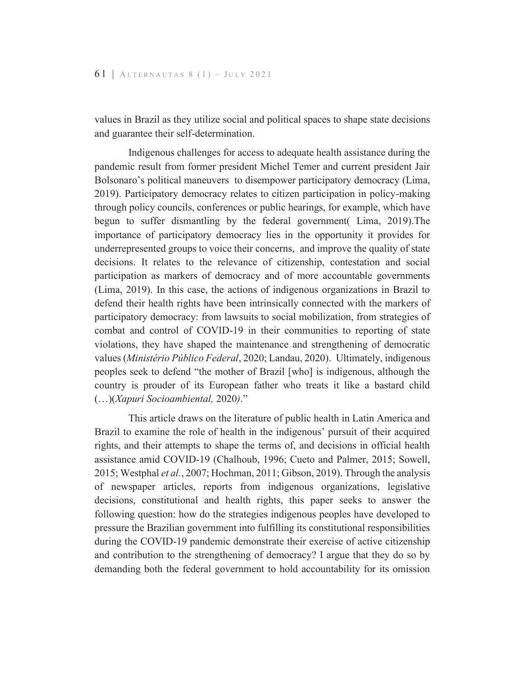values in Brazil as they utilize social and political spaces to shape state decisions and guarantee their self-determination.

Indigenous challenges for access to adequate health assistance during the pandemic result from former president Michel Temer and current president Jair Bolsonaro's political maneuvers to disempower participatory democracy (Lima, 2019). Participatory democracy relates to citizen participation in policy-making through policy councils, conferences or public hearings, for example, which have begun to suffer dismantling by the federal government (Lima, 2019). The importance of participatory democracy lies in the opportunity it provides for underrepresented groups to voice their concerns, and improve the quality of state decisions. It relates to the relevance of citizenship, contestation and social participation as markers of democracy and of more accountable governments (Lima, 2019). In this case, the actions of indigenous organizations in Brazil to defend their health rights have been intrinsically connected with the markers of participatory democracy: from lawsuits to social mobilization, from strategies of combat and control of COVID-19 in their communities to reporting of state violations, they have shaped the maintenance and strengthening of democratic values (Ministério Público Federal, 2020; Landau, 2020). Ultimately, indigenous peoples seek to defend "the mother of Brazil [who] is indigenous, although the country is prouder of its European father who treats it like a bastard child  $(...)(Xapuri$  Socioambiental, 2020)."

This article draws on the literature of public health in Latin America and Brazil to examine the role of health in the indigenous' pursuit of their acquired rights, and their attempts to shape the terms of, and decisions in official health assistance amid COVID-19 (Chalhoub, 1996; Cueto and Palmer, 2015; Sowell, 2015; Westphal et al., 2007; Hochman, 2011; Gibson, 2019). Through the analysis of newspaper articles, reports from indigenous organizations, legislative decisions, constitutional and health rights, this paper seeks to answer the following question: how do the strategies indigenous peoples have developed to pressure the Brazilian government into fulfilling its constitutional responsibilities during the COVID-19 pandemic demonstrate their exercise of active citizenship and contribution to the strengthening of democracy? I argue that they do so by demanding both the federal government to hold accountability for its omission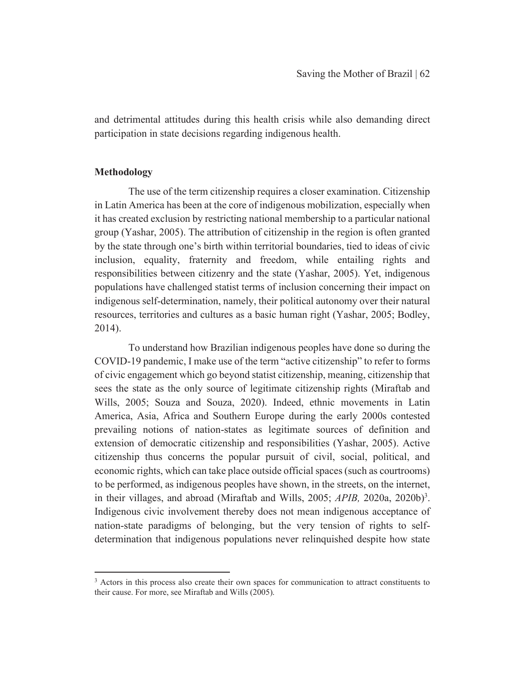and detrimental attitudes during this health crisis while also demanding direct participation in state decisions regarding indigenous health.

#### **Methodology**

The use of the term citizenship requires a closer examination. Citizenship in Latin America has been at the core of indigenous mobilization, especially when it has created exclusion by restricting national membership to a particular national group (Yashar, 2005). The attribution of citizenship in the region is often granted by the state through one's birth within territorial boundaries, tied to ideas of civic inclusion, equality, fraternity and freedom, while entailing rights and responsibilities between citizenry and the state (Yashar, 2005). Yet, indigenous populations have challenged statist terms of inclusion concerning their impact on indigenous self-determination, namely, their political autonomy over their natural resources, territories and cultures as a basic human right (Yashar, 2005; Bodley, 2014).

To understand how Brazilian indigenous peoples have done so during the COVID-19 pandemic, I make use of the term "active citizenship" to refer to forms of civic engagement which go beyond statist citizenship, meaning, citizenship that sees the state as the only source of legitimate citizenship rights (Miraftab and Wills, 2005; Souza and Souza, 2020). Indeed, ethnic movements in Latin America, Asia, Africa and Southern Europe during the early 2000s contested prevailing notions of nation-states as legitimate sources of definition and extension of democratic citizenship and responsibilities (Yashar, 2005). Active citizenship thus concerns the popular pursuit of civil, social, political, and economic rights, which can take place outside official spaces (such as courtrooms) to be performed, as indigenous peoples have shown, in the streets, on the internet, in their villages, and abroad (Miraftab and Wills, 2005;  $APIB$ , 2020a, 2020b)<sup>3</sup>. Indigenous civic involvement thereby does not mean indigenous acceptance of nation-state paradigms of belonging, but the very tension of rights to selfdetermination that indigenous populations never relinquished despite how state

<sup>&</sup>lt;sup>3</sup> Actors in this process also create their own spaces for communication to attract constituents to their cause. For more, see Miraftab and Wills (2005).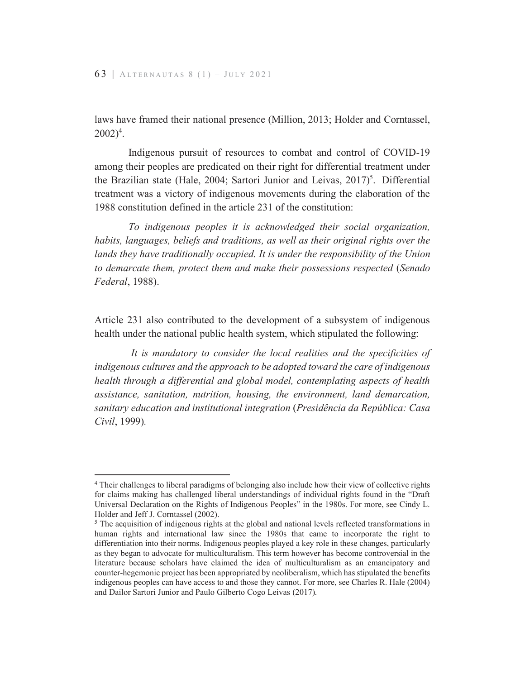laws have framed their national presence (Million, 2013; Holder and Corntassel,  $2002)^4$ .

Indigenous pursuit of resources to combat and control of COVID-19 among their peoples are predicated on their right for differential treatment under the Brazilian state (Hale, 2004; Sartori Junior and Leivas, 2017)<sup>5</sup>. Differential treatment was a victory of indigenous movements during the elaboration of the 1988 constitution defined in the article 231 of the constitution:

*To indigenous peoples it is acknowledged their social organization, habits, languages, beliefs and traditions, as well as their original rights over the*  lands they have traditionally occupied. It is under the responsibility of the Union *to demarcate them, protect them and make their possessions respected* (Senado *Federal* 

Article 231 also contributed to the development of a subsystem of indigenous health under the national public health system, which stipulated the following:

*It is mandatory to consider the local realities and the specificities of indigenous cultures and the approach to be adopted toward the care of indigenous health through a differential and global model, contemplating aspects of health assistance, sanitation, nutrition, housing, the environment, land demarcation, sanitary education and institutional integration Presidência da República: Casa Civil .*

<sup>&</sup>lt;sup>4</sup> Their challenges to liberal paradigms of belonging also include how their view of collective rights for claims making has challenged liberal understandings of individual rights found in the "Draft Universal Declaration on the Rights of Indigenous Peoples" in the 1980s. For more, see Cindy L. Holder and Jeff J. Corntassel (2002).

 $5$  The acquisition of indigenous rights at the global and national levels reflected transformations in human rights and international law since the 1980s that came to incorporate the right to differentiation into their norms. Indigenous peoples played a key role in these changes, particularly as they began to advocate for multiculturalism. This term however has become controversial in the literature because scholars have claimed the idea of multiculturalism as an emancipatory and counter-hegemonic project has been appropriated by neoliberalism, which has stipulated the benefits indigenous peoples can have access to and those they cannot. For more, see Charles R. Hale (2004) and Dailor Sartori Junior and Paulo Gilberto Cogo Leivas (2017).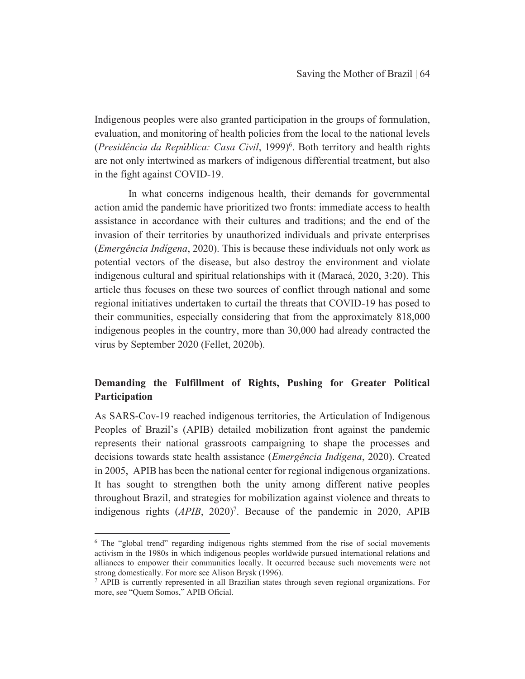Indigenous peoples were also granted participation in the groups of formulation, evaluation, and monitoring of health policies from the local to the national levels (Presidência da República: Casa Civil, 1999)<sup>6</sup>. Both territory and health rights are not only intertwined as markers of indigenous differential treatment, but also in the fight against COVID-19.

In what concerns indigenous health, their demands for governmental action amid the pandemic have prioritized two fronts: immediate access to health assistance in accordance with their cultures and traditions; and the end of the invasion of their territories by unauthorized individuals and private enterprises *(Emergência Indígena,* 2020). This is because these individuals not only work as potential vectors of the disease, but also destroy the environment and violate indigenous cultural and spiritual relationships with it (Maracá, 2020, 3:20). This article thus focuses on these two sources of conflict through national and some regional initiatives undertaken to curtail the threats that COVID-19 has posed to their communities, especially considering that from the approximately 818,000 indigenous peoples in the country, more than 30,000 had already contracted the virus by September 2020 (Fellet, 2020b).

## Demanding the Fulfillment of Rights, Pushing for Greater Political **Participation**

As SARS-Cov-19 reached indigenous territories, the Articulation of Indigenous Peoples of Brazil's (APIB) detailed mobilization front against the pandemic represents their national grassroots campaigning to shape the processes and decisions towards state health assistance (*Emergência Indígena*, 2020). Created in 2005, APIB has been the national center for regional indigenous organizations. It has sought to strengthen both the unity among different native peoples throughout Brazil, and strategies for mobilization against violence and threats to indigenous rights (APIB, 2020)<sup>7</sup>. Because of the pandemic in 2020, APIB

 $6$  The "global trend" regarding indigenous rights stemmed from the rise of social movements activism in the 1980s in which indigenous peoples worldwide pursued international relations and alliances to empower their communities locally. It occurred because such movements were not strong domestically. For more see Alison Brysk (1996).

 $\frac{3}{3}$  APIB is currently represented in all Brazilian states through seven regional organizations. For more, see "Quem Somos," APIB Oficial.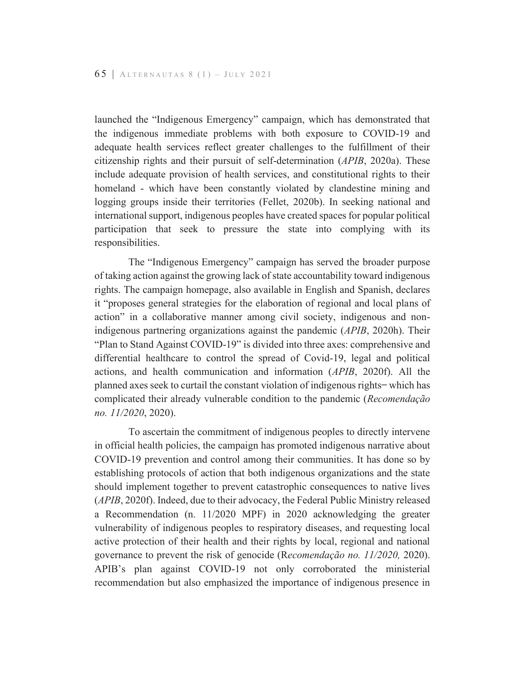launched the "Indigenous Emergency" campaign, which has demonstrated that the indigenous immediate problems with both exposure to COVID-19 and adequate health services reflect greater challenges to the fulfillment of their citizenship rights and their pursuit of self-determination  $(APIB, 2020a)$ . These include adequate provision of health services, and constitutional rights to their homeland - which have been constantly violated by clandestine mining and logging groups inside their territories (Fellet, 2020b). In seeking national and international support, indigenous peoples have created spaces for popular political participation that seek to pressure the state into complying with its responsibilities.

The "Indigenous Emergency" campaign has served the broader purpose of taking action against the growing lack of state accountability toward indigenous rights. The campaign homepage, also available in English and Spanish, declares it "proposes general strategies for the elaboration of regional and local plans of action" in a collaborative manner among civil society, indigenous and nonindigenous partnering organizations against the pandemic (APIB, 2020h). Their "Plan to Stand Against COVID-19" is divided into three axes: comprehensive and differential healthcare to control the spread of Covid-19, legal and political actions, and health communication and information (APIB, 2020f). All the planned axes seek to curtail the constant violation of indigenous rights-which has complicated their already vulnerable condition to the pandemic (Recomendação no. 11/2020, 2020).

To ascertain the commitment of indigenous peoples to directly intervene in official health policies, the campaign has promoted indigenous narrative about COVID-19 prevention and control among their communities. It has done so by establishing protocols of action that both indigenous organizations and the state should implement together to prevent catastrophic consequences to native lives (APIB, 2020f). Indeed, due to their advocacy, the Federal Public Ministry released a Recommendation (n. 11/2020 MPF) in 2020 acknowledging the greater vulnerability of indigenous peoples to respiratory diseases, and requesting local active protection of their health and their rights by local, regional and national governance to prevent the risk of genocide (Recomendação no. 11/2020, 2020). APIB's plan against COVID-19 not only corroborated the ministerial recommendation but also emphasized the importance of indigenous presence in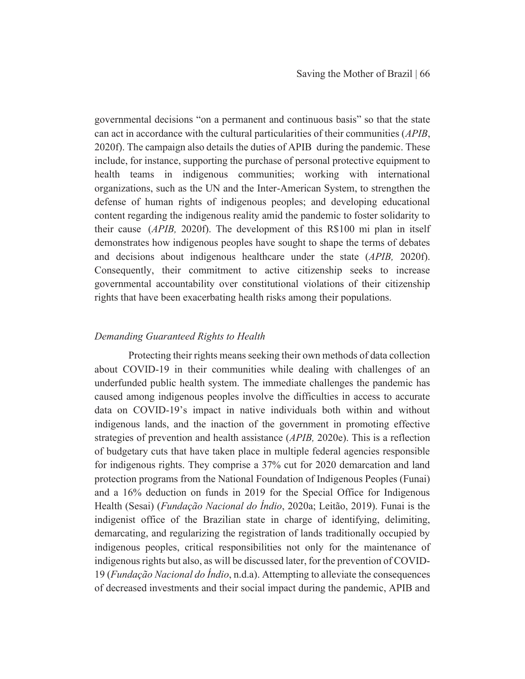governmental decisions "on a permanent and continuous basis" so that the state can act in accordance with the cultural particularities of their communities (*APIB*, 2020f). The campaign also details the duties of APIB during the pandemic. These include, for instance, supporting the purchase of personal protective equipment to health teams in indigenous communities; working with international organizations, such as the UN and the Inter-American System, to strengthen the defense of human rights of indigenous peoples; and developing educational content regarding the indigenous reality amid the pandemic to foster solidarity to their cause (*APIB*, 2020f). The development of this R\$100 mi plan in itself demonstrates how indigenous peoples have sought to shape the terms of debates and decisions about indigenous healthcare under the state (APIB, 2020f). Consequently, their commitment to active citizenship seeks to increase governmental accountability over constitutional violations of their citizenship rights that have been exacerbating health risks among their populations.

#### Demanding Guaranteed Rights to Health

Protecting their rights means seeking their own methods of data collection about COVID-19 in their communities while dealing with challenges of an underfunded public health system. The immediate challenges the pandemic has caused among indigenous peoples involve the difficulties in access to accurate data on COVID-19's impact in native individuals both within and without indigenous lands, and the inaction of the government in promoting effective strategies of prevention and health assistance  $(APIB, 2020e)$ . This is a reflection of budgetary cuts that have taken place in multiple federal agencies responsible for indigenous rights. They comprise a 37% cut for 2020 demarcation and land protection programs from the National Foundation of Indigenous Peoples (Funai) and a 16% deduction on funds in 2019 for the Special Office for Indigenous Health (Sesai) (Fundação Nacional do Índio, 2020a; Leitão, 2019). Funai is the indigenist office of the Brazilian state in charge of identifying, delimiting, demarcating, and regularizing the registration of lands traditionally occupied by indigenous peoples, critical responsibilities not only for the maintenance of indigenous rights but also, as will be discussed later, for the prevention of COVID-19 (Fundação Nacional do Índio, n.d.a). Attempting to alleviate the consequences of decreased investments and their social impact during the pandemic, APIB and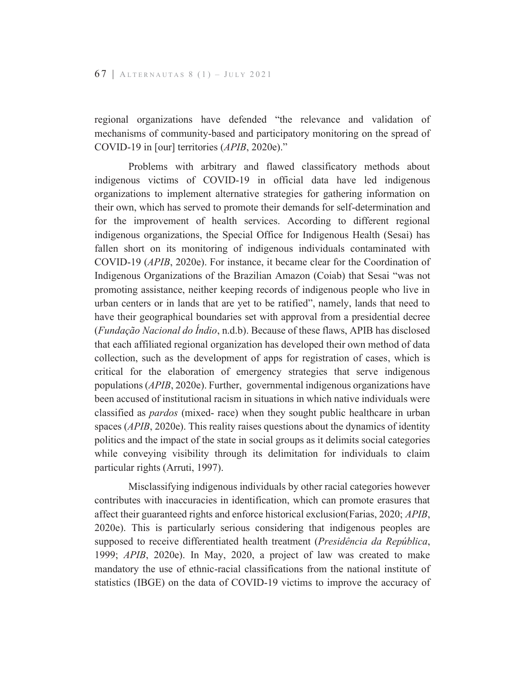regional organizations have defended "the relevance and validation of mechanisms of community-based and participatory monitoring on the spread of COVID-19 in [our] territories (APIB, 2020e)."

Problems with arbitrary and flawed classificatory methods about indigenous victims of COVID-19 in official data have led indigenous organizations to implement alternative strategies for gathering information on their own, which has served to promote their demands for self-determination and for the improvement of health services. According to different regional indigenous organizations, the Special Office for Indigenous Health (Sesai) has fallen short on its monitoring of indigenous individuals contaminated with COVID-19 (APIB, 2020e). For instance, it became clear for the Coordination of Indigenous Organizations of the Brazilian Amazon (Coiab) that Sesai "was not promoting assistance, neither keeping records of indigenous people who live in urban centers or in lands that are yet to be ratified", namely, lands that need to have their geographical boundaries set with approval from a presidential decree (Fundação Nacional do Índio, n.d.b). Because of these flaws, APIB has disclosed that each affiliated regional organization has developed their own method of data collection, such as the development of apps for registration of cases, which is critical for the elaboration of emergency strategies that serve indigenous populations (APIB, 2020e). Further, governmental indigenous organizations have been accused of institutional racism in situations in which native individuals were classified as *pardos* (mixed- race) when they sought public healthcare in urban spaces (APIB, 2020e). This reality raises questions about the dynamics of identity politics and the impact of the state in social groups as it delimits social categories while conveying visibility through its delimitation for individuals to claim particular rights (Arruti, 1997).

Misclassifying indigenous individuals by other racial categories however contributes with inaccuracies in identification, which can promote erasures that affect their guaranteed rights and enforce historical exclusion (Farias, 2020; APIB, 2020e). This is particularly serious considering that indigenous peoples are supposed to receive differentiated health treatment (*Presidência da República*, 1999; APIB, 2020e). In May, 2020, a project of law was created to make mandatory the use of ethnic-racial classifications from the national institute of statistics (IBGE) on the data of COVID-19 victims to improve the accuracy of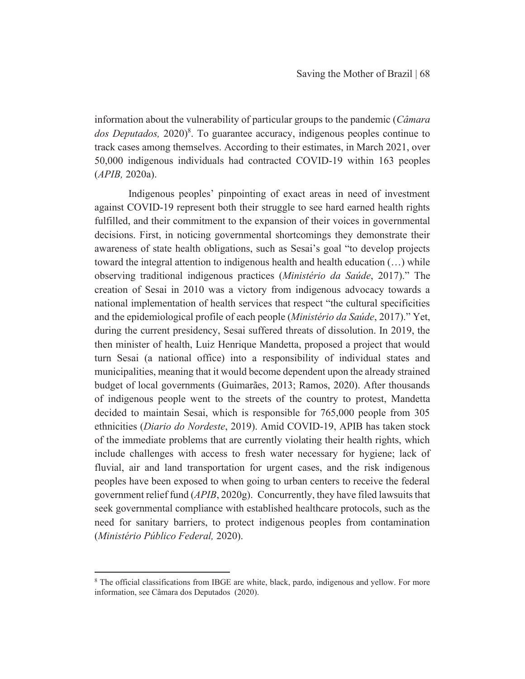information about the vulnerability of particular groups to the pandemic (*Câmara dos Deputados*, 2020<sup>8</sup>. To guarantee accuracy, indigenous peoples continue to track cases among themselves. According to their estimates, in March 2021, over 50,000 indigenous individuals had contracted COVID-19 within 163 peoples  $(APIB, 2020a).$ 

Indigenous peoples' pinpointing of exact areas in need of investment against COVID-19 represent both their struggle to see hard earned health rights fulfilled, and their commitment to the expansion of their voices in governmental decisions. First, in noticing governmental shortcomings they demonstrate their awareness of state health obligations, such as Sesai's goal "to develop projects toward the integral attention to indigenous health and health education (...) while observing traditional indigenous practices (Ministério da Saúde, 2017)." The creation of Sesai in 2010 was a victory from indigenous advocacy towards a national implementation of health services that respect "the cultural specificities" and the epidemiological profile of each people (Ministério da Saúde, 2017)." Yet, during the current presidency, Sesai suffered threats of dissolution. In 2019, the then minister of health, Luiz Henrique Mandetta, proposed a project that would turn Sesai (a national office) into a responsibility of individual states and municipalities, meaning that it would become dependent upon the already strained budget of local governments (Guimarães, 2013; Ramos, 2020). After thousands of indigenous people went to the streets of the country to protest, Mandetta decided to maintain Sesai, which is responsible for 765,000 people from 305 ethnicities (Diario do Nordeste, 2019). Amid COVID-19, APIB has taken stock of the immediate problems that are currently violating their health rights, which include challenges with access to fresh water necessary for hygiene; lack of fluvial, air and land transportation for urgent cases, and the risk indigenous peoples have been exposed to when going to urban centers to receive the federal government relief fund (APIB, 2020g). Concurrently, they have filed lawsuits that seek governmental compliance with established healthcare protocols, such as the need for sanitary barriers, to protect indigenous peoples from contamination (Ministério Público Federal, 2020).

<sup>&</sup>lt;sup>8</sup> The official classifications from IBGE are white, black, pardo, indigenous and yellow. For more information, see Câmara dos Deputados (2020).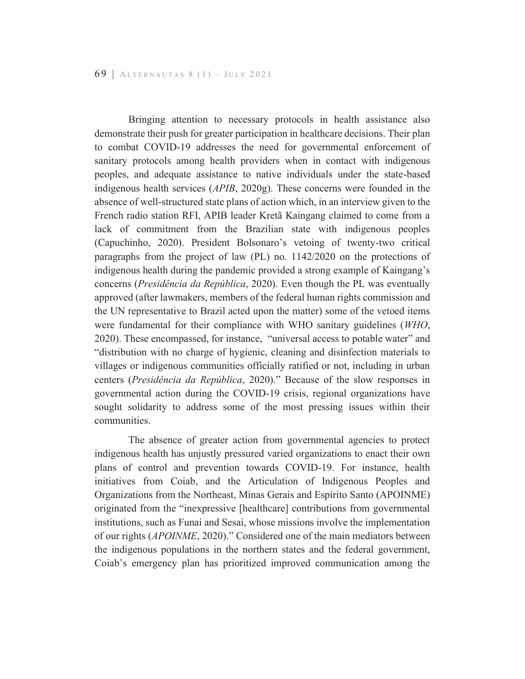Bringing attention to necessary protocols in health assistance also demonstrate their push for greater participation in healthcare decisions. Their plan to combat COVID-19 addresses the need for governmental enforcement of sanitary protocols among health providers when in contact with indigenous peoples, and adequate assistance to native individuals under the state-based indigenous health services (APIB, 2020g). These concerns were founded in the absence of well-structured state plans of action which, in an interview given to the French radio station RFI, APIB leader Kreta Kaingang claimed to come from a lack of commitment from the Brazilian state with indigenous peoples (Capuchinho, 2020). President Bolsonaro's vetoing of twenty-two critical paragraphs from the project of law (PL) no. 1142/2020 on the protections of indigenous health during the pandemic provided a strong example of Kaingang's concerns (*Presidência da República*, 2020). Even though the PL was eventually approved (after lawmakers, members of the federal human rights commission and the UN representative to Brazil acted upon the matter) some of the vetoed items were fundamental for their compliance with WHO sanitary guidelines (WHO, 2020). These encompassed, for instance, "universal access to potable water" and "distribution with no charge of hygienic, cleaning and disinfection materials to villages or indigenous communities officially ratified or not, including in urban centers (Presidência da República, 2020)." Because of the slow responses in governmental action during the COVID-19 crisis, regional organizations have sought solidarity to address some of the most pressing issues within their communities.

The absence of greater action from governmental agencies to protect indigenous health has unjustly pressured varied organizations to enact their own plans of control and prevention towards COVID-19. For instance, health initiatives from Coiab, and the Articulation of Indigenous Peoples and Organizations from the Northeast, Minas Gerais and Espírito Santo (APOINME) originated from the "inexpressive [healthcare] contributions from governmental institutions, such as Funai and Sesai, whose missions involve the implementation of our rights (*APOINME*, 2020)." Considered one of the main mediators between the indigenous populations in the northern states and the federal government, Coiab's emergency plan has prioritized improved communication among the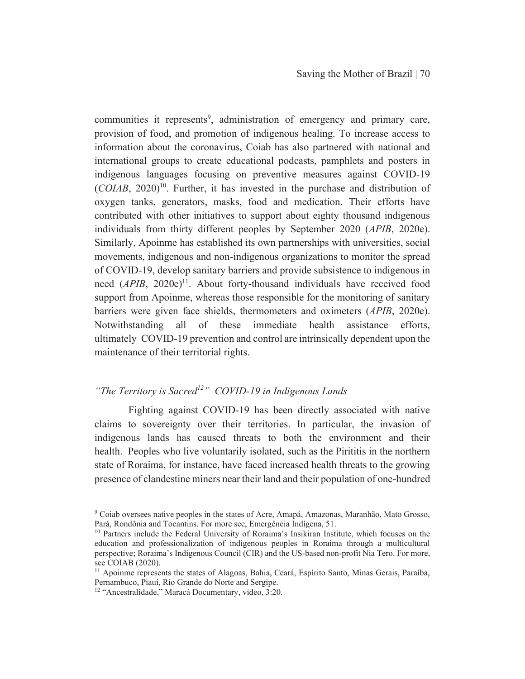communities it represents<sup>9</sup>, administration of emergency and primary care, provision of food, and promotion of indigenous healing. To increase access to information about the coronavirus, Coiab has also partnered with national and international groups to create educational podcasts, pamphlets and posters in indigenous languages focusing on preventive measures against COVID-19  $(COIAB, 2020)^{10}$ . Further, it has invested in the purchase and distribution of oxygen tanks, generators, masks, food and medication. Their efforts have contributed with other initiatives to support about eighty thousand indigenous individuals from thirty different peoples by September 2020 (APIB, 2020e). Similarly, Apoinme has established its own partnerships with universities, social movements, indigenous and non-indigenous organizations to monitor the spread of COVID-19, develop sanitary barriers and provide subsistence to indigenous in need (APIB, 2020e)<sup>11</sup>. About forty-thousand individuals have received food support from Apoinme, whereas those responsible for the monitoring of sanitary barriers were given face shields, thermometers and oximeters (APIB, 2020e). Notwithstanding all of these immediate health assistance efforts, ultimately COVID-19 prevention and control are intrinsically dependent upon the maintenance of their territorial rights.

## "The Territory is Sacred<sup>12</sup>" COVID-19 in Indigenous Lands

Fighting against COVID-19 has been directly associated with native claims to sovereignty over their territories. In particular, the invasion of indigenous lands has caused threats to both the environment and their health. Peoples who live voluntarily isolated, such as the Pirititis in the northern state of Roraima, for instance, have faced increased health threats to the growing presence of clandestine miners near their land and their population of one-hundred

<sup>&</sup>lt;sup>9</sup> Coiab oversees native peoples in the states of Acre, Amapá, Amazonas, Maranhão, Mato Grosso, Pará, Rondônia and Tocantins. For more see, Emergência Indígena, 51.

<sup>&</sup>lt;sup>10</sup> Partners include the Federal University of Roraima's Insikiran Institute, which focuses on the education and professionalization of indigenous peoples in Roraima through a multicultural perspective; Roraima's Indigenous Council (CIR) and the US-based non-profit Nia Tero. For more, see COIAB (2020).

<sup>&</sup>lt;sup>11</sup> Apoinme represents the states of Alagoas, Bahia, Ceará, Espírito Santo, Minas Gerais, Paraíba, Pernambuco, Piauí, Rio Grande do Norte and Sergipe.

<sup>&</sup>lt;sup>12</sup> "Ancestralidade," Maracá Documentary, video, 3:20.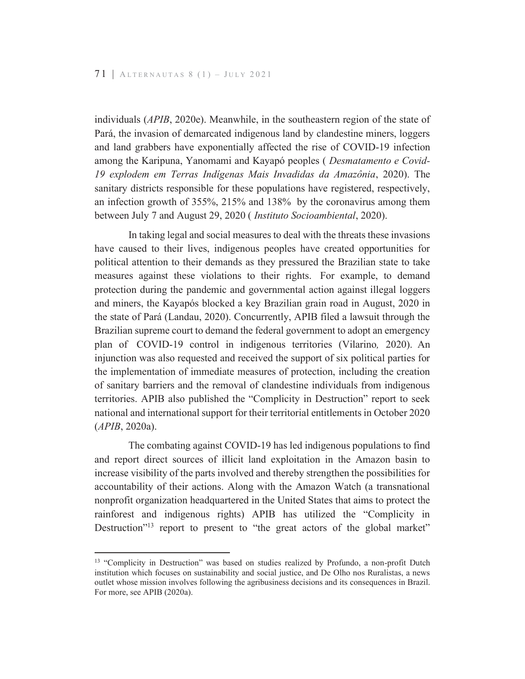individuals (APIB, 2020e). Meanwhile, in the southeastern region of the state of Pará, the invasion of demarcated indigenous land by clandestine miners, loggers and land grabbers have exponentially affected the rise of COVID-19 infection among the Karipuna, Yanomami and Kayapó peoples (*Desmatamento e Covid-*19 explodem em Terras Indígenas Mais Invadidas da Amazônia, 2020). The sanitary districts responsible for these populations have registered, respectively, an infection growth of 355%, 215% and 138% by the coronavirus among them between July 7 and August 29, 2020 (Instituto Socioambiental, 2020).

In taking legal and social measures to deal with the threats these invasions have caused to their lives, indigenous peoples have created opportunities for political attention to their demands as they pressured the Brazilian state to take measures against these violations to their rights. For example, to demand protection during the pandemic and governmental action against illegal loggers and miners, the Kayapós blocked a key Brazilian grain road in August, 2020 in the state of Pará (Landau, 2020). Concurrently, APIB filed a lawsuit through the Brazilian supreme court to demand the federal government to adopt an emergency plan of COVID-19 control in indigenous territories (Vilarino, 2020). An injunction was also requested and received the support of six political parties for the implementation of immediate measures of protection, including the creation of sanitary barriers and the removal of clandestine individuals from indigenous territories. APIB also published the "Complicity in Destruction" report to seek national and international support for their territorial entitlements in October 2020  $(APIB, 2020a).$ 

The combating against COVID-19 has led indigenous populations to find and report direct sources of illicit land exploitation in the Amazon basin to increase visibility of the parts involved and thereby strengthen the possibilities for accountability of their actions. Along with the Amazon Watch (a transnational nonprofit organization headquartered in the United States that aims to protect the rainforest and indigenous rights) APIB has utilized the "Complicity in Destruction"<sup>13</sup> report to present to "the great actors of the global market"

<sup>&</sup>lt;sup>13</sup> "Complicity in Destruction" was based on studies realized by Profundo, a non-profit Dutch institution which focuses on sustainability and social justice, and De Olho nos Ruralistas, a news outlet whose mission involves following the agribusiness decisions and its consequences in Brazil. For more, see APIB (2020a).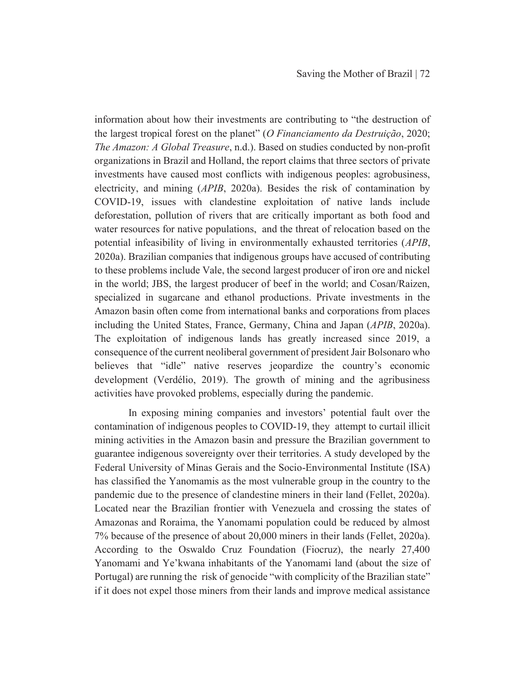information about how their investments are contributing to "the destruction of the largest tropical forest on the planet" (O Financiamento da Destruição, 2020; The Amazon: A Global Treasure, n.d.). Based on studies conducted by non-profit organizations in Brazil and Holland, the report claims that three sectors of private investments have caused most conflicts with indigenous peoples: agrobusiness, electricity, and mining (APIB, 2020a). Besides the risk of contamination by COVID-19, issues with clandestine exploitation of native lands include deforestation, pollution of rivers that are critically important as both food and water resources for native populations, and the threat of relocation based on the potential infeasibility of living in environmentally exhausted territories (APIB, 2020a). Brazilian companies that indigenous groups have accused of contributing to these problems include Vale, the second largest producer of iron ore and nickel in the world; JBS, the largest producer of beef in the world; and Cosan/Raizen, specialized in sugarcane and ethanol productions. Private investments in the Amazon basin often come from international banks and corporations from places including the United States, France, Germany, China and Japan (APIB, 2020a). The exploitation of indigenous lands has greatly increased since 2019, a consequence of the current neoliberal government of president Jair Bolsonaro who believes that "idle" native reserves jeopardize the country's economic development (Verdélio, 2019). The growth of mining and the agribusiness activities have provoked problems, especially during the pandemic.

In exposing mining companies and investors' potential fault over the contamination of indigenous peoples to COVID-19, they attempt to curtail illicit mining activities in the Amazon basin and pressure the Brazilian government to guarantee indigenous sovereignty over their territories. A study developed by the Federal University of Minas Gerais and the Socio-Environmental Institute (ISA) has classified the Yanomamis as the most vulnerable group in the country to the pandemic due to the presence of clandestine miners in their land (Fellet, 2020a). Located near the Brazilian frontier with Venezuela and crossing the states of Amazonas and Roraima, the Yanomami population could be reduced by almost 7% because of the presence of about 20,000 miners in their lands (Fellet, 2020a). According to the Oswaldo Cruz Foundation (Fiocruz), the nearly 27,400 Yanomami and Ye'kwana inhabitants of the Yanomami land (about the size of Portugal) are running the risk of genocide "with complicity of the Brazilian state" if it does not expel those miners from their lands and improve medical assistance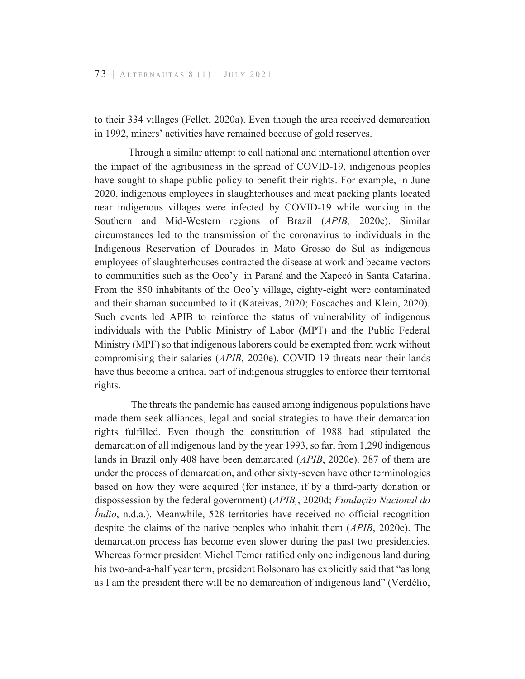to their 334 villages (Fellet, 2020a). Even though the area received demarcation in 1992, miners' activities have remained because of gold reserves.

Through a similar attempt to call national and international attention over the impact of the agribusiness in the spread of COVID-19, indigenous peoples have sought to shape public policy to benefit their rights. For example, in June 2020, indigenous employees in slaughterhouses and meat packing plants located near indigenous villages were infected by COVID-19 while working in the Southern and Mid-Western regions of Brazil (APIB, 2020e). Similar circumstances led to the transmission of the coronavirus to individuals in the Indigenous Reservation of Dourados in Mato Grosso do Sul as indigenous employees of slaughterhouses contracted the disease at work and became vectors to communities such as the Oco'y in Paraná and the Xapecó in Santa Catarina. From the 850 inhabitants of the Oco'y village, eighty-eight were contaminated and their shaman succumbed to it (Kateivas, 2020; Foscaches and Klein, 2020). Such events led APIB to reinforce the status of vulnerability of indigenous individuals with the Public Ministry of Labor (MPT) and the Public Federal Ministry (MPF) so that indigenous laborers could be exempted from work without compromising their salaries (APIB, 2020e). COVID-19 threats near their lands have thus become a critical part of indigenous struggles to enforce their territorial rights.

The threats the pandemic has caused among indigenous populations have made them seek alliances, legal and social strategies to have their demarcation rights fulfilled. Even though the constitution of 1988 had stipulated the demarcation of all indigenous land by the year 1993, so far, from 1,290 indigenous lands in Brazil only 408 have been demarcated (APIB, 2020e). 287 of them are under the process of demarcation, and other sixty-seven have other terminologies based on how they were acquired (for instance, if by a third-party donation or dispossession by the federal government) (APIB,, 2020d; Fundação Nacional do *Indio*, n.d.a.). Meanwhile, 528 territories have received no official recognition despite the claims of the native peoples who inhabit them (APIB, 2020e). The demarcation process has become even slower during the past two presidencies. Whereas former president Michel Temer ratified only one indigenous land during his two-and-a-half year term, president Bolsonaro has explicitly said that "as long as I am the president there will be no demarcation of indigenous land" (Verdélio,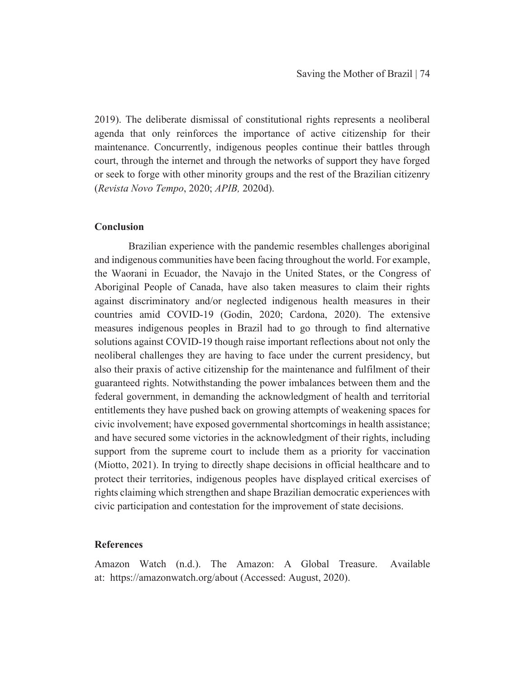2019). The deliberate dismissal of constitutional rights represents a neoliberal agenda that only reinforces the importance of active citizenship for their maintenance. Concurrently, indigenous peoples continue their battles through court, through the internet and through the networks of support they have forged or seek to forge with other minority groups and the rest of the Brazilian citizenry *(Revista Novo Tempo, 2020; APIB, 2020d).* 

#### **Conclusion**

Brazilian experience with the pandemic resembles challenges aboriginal and indigenous communities have been facing throughout the world. For example, the Waorani in Ecuador, the Navajo in the United States, or the Congress of Aboriginal People of Canada, have also taken measures to claim their rights against discriminatory and/or neglected indigenous health measures in their countries amid  $COVID-19$  (Godin, 2020; Cardona, 2020). The extensive measures indigenous peoples in Brazil had to go through to find alternative solutions against COVID-19 though raise important reflections about not only the neoliberal challenges they are having to face under the current presidency, but also their praxis of active citizenship for the maintenance and fulfilment of their guaranteed rights. Notwithstanding the power imbalances between them and the federal government, in demanding the acknowledgment of health and territorial entitlements they have pushed back on growing attempts of weakening spaces for civic involvement; have exposed governmental shortcomings in health assistance; and have secured some victories in the acknowledgment of their rights, including support from the supreme court to include them as a priority for vaccination (Miotto, 2021). In trying to directly shape decisions in official healthcare and to protect their territories, indigenous peoples have displayed critical exercises of rights claiming which strengthen and shape Brazilian democratic experiences with civic participation and contestation for the improvement of state decisions.

### **References**

Amazon Watch (n.d.). The Amazon: A Global Treasure. Available at: https://amazonwatch.org/about (Accessed: August, 2020).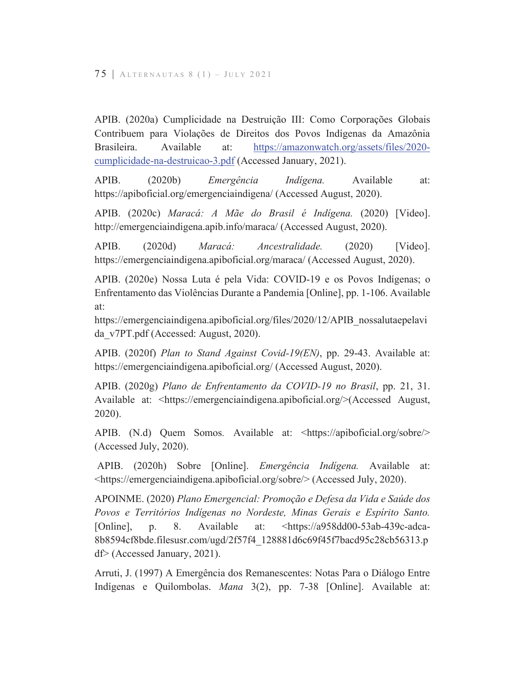APIB. (2020a) Cumplicidade na Destruição III: Como Corporações Globais Contribuem para Violações de Direitos dos Povos Indígenas da Amazônia Available https://amazonwatch.org/assets/files/2020-Brasileira. at: cumplicidade-na-destruicao-3.pdf (Accessed January, 2021).

APIB.  $(2020b)$ Emergência Indígena. Available at: https://apiboficial.org/emergenciaindigena/ (Accessed August, 2020).

APIB. (2020c) Maracá: A Mãe do Brasil é Indígena. (2020) [Video]. http://emergenciaindigena.apib.info/maraca/ (Accessed August, 2020).

APIB.  $(2020d)$ Maracá: Ancestralidade.  $(2020)$ [Video]. https://emergenciaindigena.apiboficial.org/maraca/ (Accessed August, 2020).

APIB. (2020e) Nossa Luta é pela Vida: COVID-19 e os Povos Indígenas; o Enfrentamento das Violências Durante a Pandemia [Online], pp. 1-106. Available at:

https://emergenciaindigena.apiboficial.org/files/2020/12/APIB nossalutaepelavi da v7PT.pdf (Accessed: August, 2020).

APIB. (2020f) Plan to Stand Against Covid-19(EN), pp. 29-43. Available at: https://emergenciaindigena.apiboficial.org/ (Accessed August, 2020).

APIB. (2020g) Plano de Enfrentamento da COVID-19 no Brasil, pp. 21, 31. Available at: <https://emergenciaindigena.apiboficial.org/>(Accessed August, 2020).

APIB. (N.d) Quem Somos. Available at: <https://apiboficial.org/sobre/> (Accessed July, 2020).

APIB. (2020h) Sobre [Online]. *Emergência Indígena*. Available at: <https://emergenciaindigena.apiboficial.org/sobre/> (Accessed July, 2020).

APOINME. (2020) Plano Emergencial: Promoção e Defesa da Vida e Saúde dos Povos e Territórios Indígenas no Nordeste, Minas Gerais e Espírito Santo. [Online], p. 8. Available at:  $\frac{\text{th}\times\text{5}}{24}$  \text{\mathbf{s}\$ \text{\mathbf{s}\$ \text{\mathbf{s}\$ \text{\mathbf{s}\$ \text{\mathbf{s}\$ \text{\mathbf{s}\$ \text{\mathbf{s}\$ \text{\mathbf{s}\$ \text{\mathbf{s}\$ \text{\mathbf{s}\$ \text{\mathbf{s}\$ \te 8b8594cf8bde.filesusr.com/ugd/2f57f4 128881d6c69f45f7bacd95c28cb56313.p  $df$  (Accessed January, 2021).

Arruti, J. (1997) A Emergência dos Remanescentes: Notas Para o Diálogo Entre Indígenas e Quilombolas. Mana 3(2), pp. 7-38 [Online]. Available at: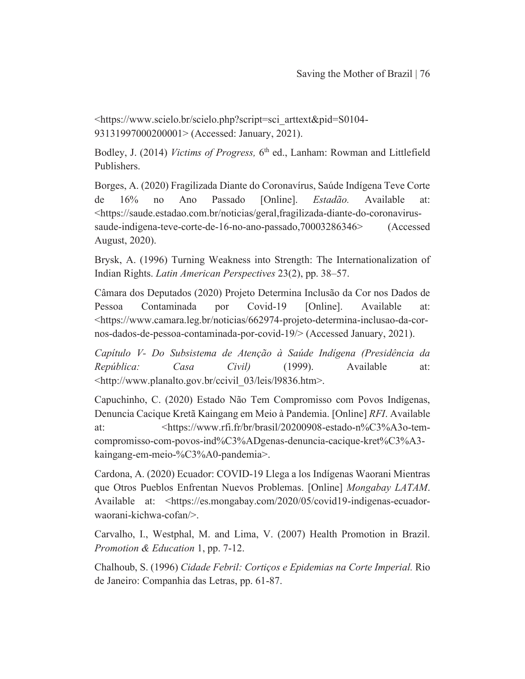<https://www.scielo.br/scielo.php?script=sci arttext&pid=S0104-93131997000200001> (Accessed: January, 2021).

Bodley, J. (2014) Victims of Progress, 6<sup>th</sup> ed., Lanham: Rowman and Littlefield Publishers.

Borges, A. (2020) Fragilizada Diante do Coronavírus, Saúde Indígena Teve Corte de  $16%$  $no$ Ano Passado [Online]. Estadão. Available at: <https://saude.estadao.com.br/noticias/geral.fragilizada-diante-do-coronavirussaude-indigena-teve-corte-de-16-no-ano-passado, 70003286346> (Accessed) August, 2020).

Brysk, A. (1996) Turning Weakness into Strength: The Internationalization of Indian Rights. Latin American Perspectives 23(2), pp. 38–57.

Câmara dos Deputados (2020) Projeto Determina Inclusão da Cor nos Dados de Pessoa Contaminada Covid-19 [Online]. Available por at: <https://www.camara.leg.br/noticias/662974-projeto-determina-inclusao-da-cornos-dados-de-pessoa-contaminada-por-covid-19/> (Accessed January, 2021).

Capítulo V- Do Subsistema de Atenção à Saúde Indígena (Presidência da República: Casa  $Civil$  $(1999).$ Available at: <http://www.planalto.gov.br/ccivil 03/leis/19836.htm>.

Capuchinho, C. (2020) Estado Não Tem Compromisso com Povos Indígenas, Denuncia Cacique Kretã Kaingang em Meio à Pandemia. [Online] RFI. Available <https://www.rfi.fr/br/brasil/20200908-estado-n%C3%A3o-temat: compromisso-com-povos-ind%C3%ADgenas-denuncia-cacique-kret%C3%A3kaingang-em-meio-%C3%A0-pandemia>.

Cardona, A. (2020) Ecuador: COVID-19 Llega a los Indígenas Waorani Mientras que Otros Pueblos Enfrentan Nuevos Problemas. [Online] Mongabay LATAM. Available at: <https://es.mongabay.com/2020/05/covid19-indigenas-ecuadorwaorani-kichwa-cofan/>.

Carvalho, I., Westphal, M. and Lima, V. (2007) Health Promotion in Brazil. Promotion & Education 1, pp. 7-12.

Chalhoub, S. (1996) Cidade Febril: Cortiços e Epidemias na Corte Imperial. Rio de Janeiro: Companhia das Letras, pp. 61-87.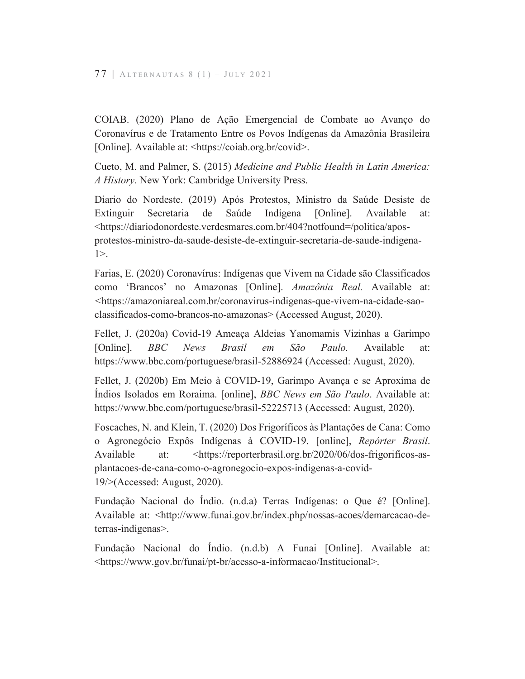COIAB. (2020) Plano de Ação Emergencial de Combate ao Avanço do Coronavírus e de Tratamento Entre os Povos Indígenas da Amazônia Brasileira [Online]. Available at: <https://coiab.org.br/covid>.

Cueto, M. and Palmer, S. (2015) Medicine and Public Health in Latin America: A History. New York: Cambridge University Press.

Diario do Nordeste. (2019) Após Protestos, Ministro da Saúde Desiste de Secretaria de Saúde Indígena [Online]. Extinguir Available at: <https://diariodonordeste.verdesmares.com.br/404?notfound=/politica/aposprotestos-ministro-da-saude-desiste-de-extinguir-secretaria-de-saude-indigena- $1$ .

Farias, E. (2020) Coronavírus: Indígenas que Vivem na Cidade são Classificados como 'Brancos' no Amazonas [Online]. Amazônia Real. Available at: <https://amazoniareal.com.br/coronavirus-indigenas-que-vivem-na-cidade-saoclassificados-como-brancos-no-amazonas> (Accessed August, 2020).

Fellet, J. (2020a) Covid-19 Ameaça Aldeias Yanomamis Vizinhas a Garimpo  $BBC$ **Brasil**  $S\tilde{a}o$ Paulo. Available [Online]. **News**  $em$ at: https://www.bbc.com/portuguese/brasil-52886924 (Accessed: August, 2020).

Fellet, J. (2020b) Em Meio à COVID-19, Garimpo Avança e se Aproxima de Índios Isolados em Roraima. [online], *BBC News em São Paulo*. Available at: https://www.bbc.com/portuguese/brasil-52225713 (Accessed: August, 2020).

Foscaches, N. and Klein, T. (2020) Dos Frigoríficos às Plantações de Cana: Como o Agronegócio Expôs Indígenas à COVID-19. [online], Repórter Brasil. Available at: <https://reporterbrasil.org.br/2020/06/dos-frigorificos-asplantacoes-de-cana-como-o-agronegocio-expos-indigenas-a-covid-19/>(Accessed: August, 2020).

Fundação Nacional do Índio. (n.d.a) Terras Indígenas: o Que é? [Online]. Available at: <http://www.funai.gov.br/index.php/nossas-acoes/demarcacao-deterras-indigenas>.

Fundação Nacional do Indio. (n.d.b) A Funai [Online]. Available at: <https://www.gov.br/funai/pt-br/acesso-a-informacao/Institucional>.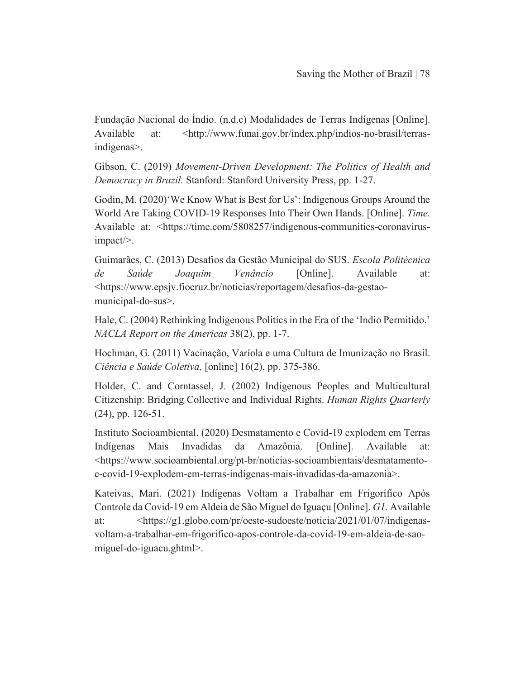Fundação Nacional do Índio. (n.d.c) Modalidades de Terras Indígenas [Online]. Available at: <http://www.funai.gov.br/index.php/indios-no-brasil/terrasindigenas>.

Gibson, C. (2019) Movement-Driven Development: The Politics of Health and Democracy in Brazil. Stanford: Stanford University Press, pp. 1-27.

Godin, M. (2020)'We Know What is Best for Us': Indigenous Groups Around the World Are Taking COVID-19 Responses Into Their Own Hands. [Online]. Time. Available at: <https://time.com/5808257/indigenous-communities-coronavirusimpact/>.

Guimarães, C. (2013) Desafios da Gestão Municipal do SUS. Escola Politécnica de Saúde Joaquim Venâncio [Online]. Available at: <https://www.epsjv.fiocruz.br/noticias/reportagem/desafios-da-gestaomunicipal-do-sus>.

Hale, C. (2004) Rethinking Indigenous Politics in the Era of the 'Indio Permitido.' NACLA Report on the Americas 38(2), pp. 1-7.

Hochman, G. (2011) Vacinação, Varíola e uma Cultura de Imunização no Brasil. Ciência e Saúde Coletiva, [online] 16(2), pp. 375-386.

Holder, C. and Corntassel, J. (2002) Indigenous Peoples and Multicultural Citizenship: Bridging Collective and Individual Rights. Human Rights Quarterly  $(24)$ , pp. 126-51.

Instituto Socioambiental. (2020) Desmatamento e Covid-19 explodem em Terras Indígenas Mais Invadidas da Amazônia. [Online]. Available at: <https://www.socioambiental.org/pt-br/noticias-socioambientais/desmatamentoe-covid-19-explodem-em-terras-indigenas-mais-invadidas-da-amazonia>.

Kateivas, Mari. (2021) Indígenas Voltam a Trabalhar em Frigorífico Após Controle da Covid-19 em Aldeia de São Miguel do Iguaçu [Online]. Gl. Available at: <https://g1.globo.com/pr/oeste-sudoeste/noticia/2021/01/07/indigenasvoltam-a-trabalhar-em-frigorifico-apos-controle-da-covid-19-em-aldeia-de-saomiguel-do-iguacu.ghtml>.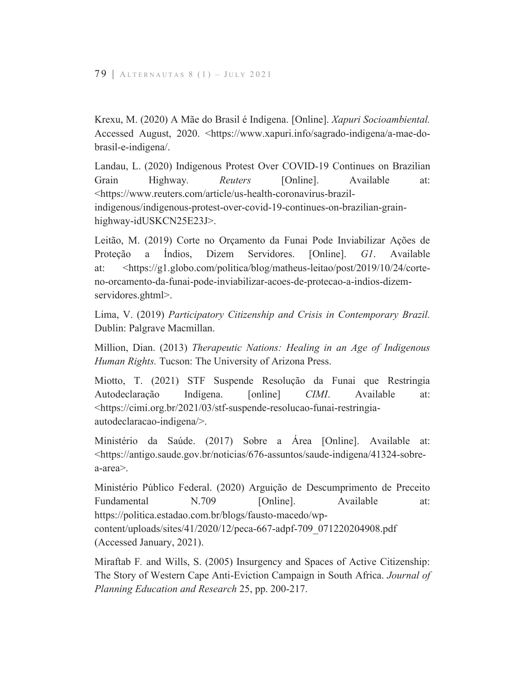Krexu, M. (2020) A Mãe do Brasil é Indígena. [Online]. Xapuri Socioambiental. Accessed August, 2020. <https://www.xapuri.info/sagrado-indigena/a-mae-dobrasil-e-indigena.

Landau, L. (2020) Indigenous Protest Over COVID-19 Continues on Brazilian Grain Highway. Reuters [Online]. Available at: <https://www.reuters.com/article/us-health-coronavirus-brazilindigenous/indigenous-protest-over-covid-19-continues-on-brazilian-grainhighway-idUSKCN25E23J>.

Leitão, M. (2019) Corte no Orçamento da Funai Pode Inviabilizar Ações de Proteção a Índios, Dizem Servidores. [Online]. GI. Available <https://g1.globo.com/politica/blog/matheus-leitao/post/2019/10/24/corteat: no-orcamento-da-funai-pode-inviabilizar-acoes-de-protecao-a-indios-dizemservidores.ghtml>.

Lima, V. (2019) Participatory Citizenship and Crisis in Contemporary Brazil. Dublin: Palgrave Macmillan.

Million, Dian. (2013) Therapeutic Nations: Healing in an Age of Indigenous Human Rights. Tucson: The University of Arizona Press.

Miotto, T. (2021) STF Suspende Resolução da Funai que Restringia Available Autodeclaração Indígena. [online]  $CIMI$ . at: <https://cimi.org.br/2021/03/stf-suspende-resolucao-funai-restringiaautodeclaracao-indigena/>.

Ministério da Saúde. (2017) Sobre a Área [Online]. Available at: <https://antigo.saude.gov.br/noticias/676-assuntos/saude-indigena/41324-sobrea-area>.

Ministério Público Federal. (2020) Arguição de Descumprimento de Preceito Fundamental N.709 [Online]. Available at: https://politica.estadao.com.br/blogs/fausto-macedo/wpcontent/uploads/sites/41/2020/12/peca-667-adpf-709 071220204908.pdf (Accessed January, 2021).

Miraftab F. and Wills, S. (2005) Insurgency and Spaces of Active Citizenship: The Story of Western Cape Anti-Eviction Campaign in South Africa. Journal of Planning Education and Research 25, pp. 200-217.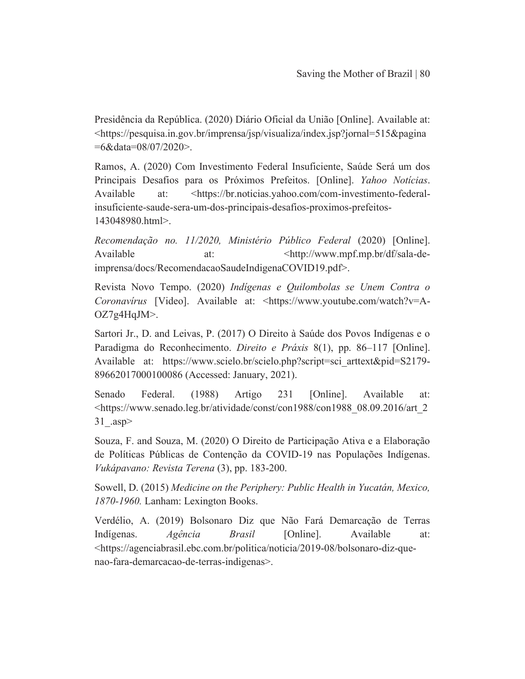Presidência da República. (2020) Diário Oficial da União [Online]. Available at: <https://pesquisa.in.gov.br/imprensa/jsp/visualiza/index.jsp?jornal=515&pagina  $=6&$ data $=08/07/2020$ .

Ramos, A. (2020) Com Investimento Federal Insuficiente, Saúde Será um dos Principais Desafios para os Próximos Prefeitos. [Online]. Yahoo Notícias. Available <https://br.noticias.yahoo.com/com-investimento-federalat: insuficiente-saude-sera-um-dos-principais-desafios-proximos-prefeitos-143048980.html>.

Recomendação no. 11/2020, Ministério Público Federal (2020) [Online]. Available  $at:$ <http://www.mpf.mp.br/df/sala-deimprensa/docs/RecomendacaoSaudeIndigenaCOVID19.pdf>.

Revista Novo Tempo. (2020) Indígenas e Quilombolas se Unem Contra o Coronavirus [Video]. Available at: <https://www.youtube.com/watch?v=A- $OZ7g4HqJM$ .

Sartori Jr., D. and Leivas, P. (2017) O Direito à Saúde dos Povos Indígenas e o Paradigma do Reconhecimento. *Direito e Práxis* 8(1), pp. 86–117 [Online]. Available at: https://www.scielo.br/scielo.php?script=sci arttext&pid=S2179-89662017000100086 (Accessed: January, 2021).

Senado Federal.  $(1988)$ Artigo 231 [Online]. Available at: <https://www.senado.leg.br/atividade/const/con1988/con1988 08.09.2016/art 2 31 .asp>

Souza, F. and Souza, M. (2020) O Direito de Participação Ativa e a Elaboração de Políticas Públicas de Contenção da COVID-19 nas Populações Indígenas. Vukápavano: Revista Terena (3), pp. 183-200.

Sowell, D. (2015) Medicine on the Periphery: Public Health in Yucatán, Mexico, 1870-1960. Lanham: Lexington Books.

Verdélio, A. (2019) Bolsonaro Diz que Não Fará Demarcação de Terras Indígenas. Agência *Brasil* [Online]. Available at: <https://agenciabrasil.ebc.com.br/politica/noticia/2019-08/bolsonaro-diz-quenao-fara-demarcacao-de-terras-indigenas>.